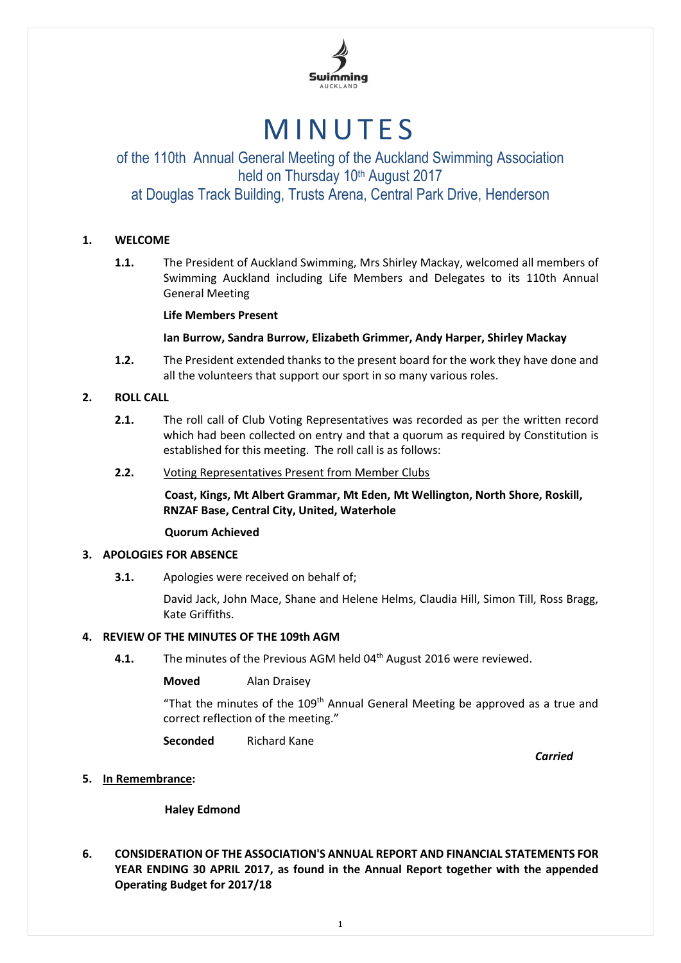

# **MINUTES**

# of the 110th Annual General Meeting of the Auckland Swimming Association held on Thursday 10th August 2017 at Douglas Track Building, Trusts Arena, Central Park Drive, Henderson

# **1. WELCOME**

**1.1.** The President of Auckland Swimming, Mrs Shirley Mackay, welcomed all members of Swimming Auckland including Life Members and Delegates to its 110th Annual General Meeting

# **Life Members Present**

# **Ian Burrow, Sandra Burrow, Elizabeth Grimmer, Andy Harper, Shirley Mackay**

**1.2.** The President extended thanks to the present board for the work they have done and all the volunteers that support our sport in so many various roles.

# **2. ROLL CALL**

- **2.1.** The roll call of Club Voting Representatives was recorded as per the written record which had been collected on entry and that a quorum as required by Constitution is established for this meeting. The roll call is as follows:
- **2.2.** Voting Representatives Present from Member Clubs

**Coast, Kings, Mt Albert Grammar, Mt Eden, Mt Wellington, North Shore, Roskill, RNZAF Base, Central City, United, Waterhole**

# **Quorum Achieved**

# **3. APOLOGIES FOR ABSENCE**

**3.1.** Apologies were received on behalf of;

David Jack, John Mace, Shane and Helene Helms, Claudia Hill, Simon Till, Ross Bragg, Kate Griffiths.

# **4. REVIEW OF THE MINUTES OF THE 109th AGM**

**4.1.** The minutes of the Previous AGM held 04<sup>th</sup> August 2016 were reviewed.

**Moved** Alan Draisey

"That the minutes of the 109<sup>th</sup> Annual General Meeting be approved as a true and correct reflection of the meeting."

**Seconded** Richard Kane

*Carried*

# **5. In Remembrance:**

**Haley Edmond**

**6. CONSIDERATION OF THE ASSOCIATION'S ANNUAL REPORT AND FINANCIAL STATEMENTS FOR YEAR ENDING 30 APRIL 2017, as found in the Annual Report together with the appended Operating Budget for 2017/18**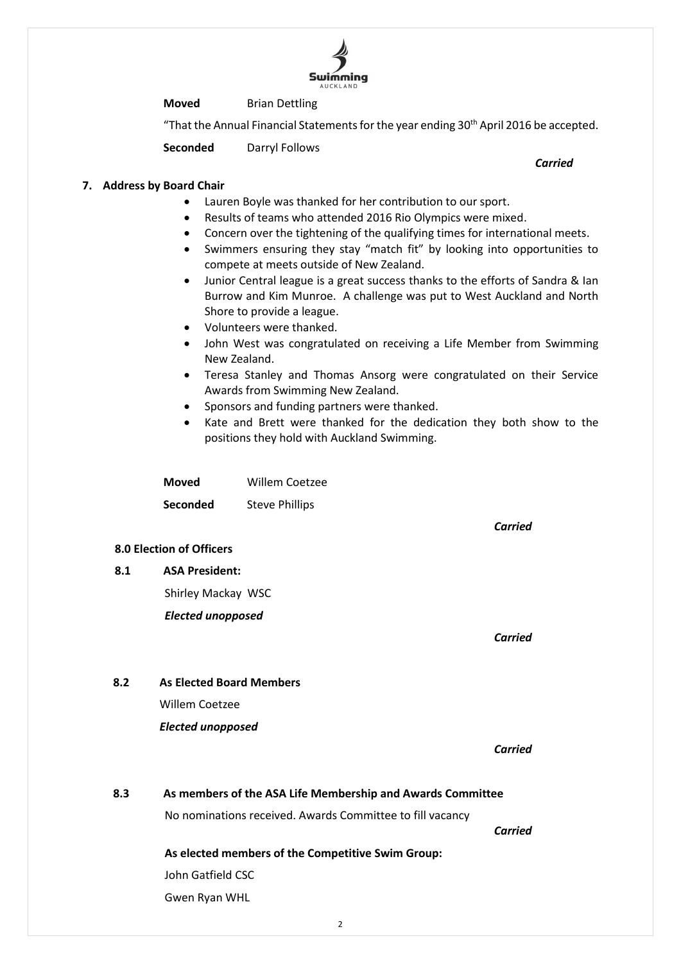# **Moved** Brian Dettling

"That the Annual Financial Statements for the year ending  $30<sup>th</sup>$  April 2016 be accepted.

**Seconded** Darryl Follows

# **7. Address by Board Chair**

- Lauren Boyle was thanked for her contribution to our sport.
- Results of teams who attended 2016 Rio Olympics were mixed.
- Concern over the tightening of the qualifying times for international meets.
	- Swimmers ensuring they stay "match fit" by looking into opportunities to compete at meets outside of New Zealand.
	- Junior Central league is a great success thanks to the efforts of Sandra & Ian Burrow and Kim Munroe. A challenge was put to West Auckland and North Shore to provide a league.
	- Volunteers were thanked.
	- John West was congratulated on receiving a Life Member from Swimming New Zealand.
	- Teresa Stanley and Thomas Ansorg were congratulated on their Service Awards from Swimming New Zealand.
	- Sponsors and funding partners were thanked.
	- Kate and Brett were thanked for the dedication they both show to the positions they hold with Auckland Swimming.

**Moved** Willem Coetzee **Seconded** Steve Phillips

# **8.0 Election of Officers**

**8.1 ASA President:**

Shirley Mackay WSC

*Elected unopposed*

**8.2 As Elected Board Members**

*Elected unopposed*

Willem Coetzee

*Carried*

*Carried*

*Carried*

# **8.3 As members of the ASA Life Membership and Awards Committee**

No nominations received. Awards Committee to fill vacancy

*Carried*

# **As elected members of the Competitive Swim Group:**

John Gatfield CSC

Gwen Ryan WHL

# *Carried*

**Swimming**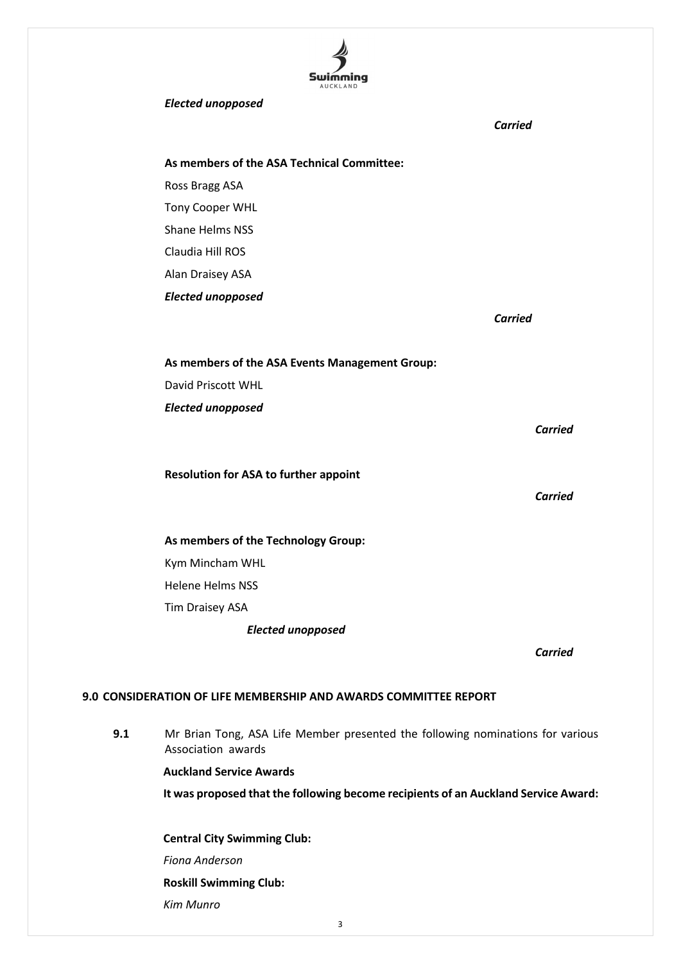

### *Elected unopposed*

|                                                | <b>Carried</b> |
|------------------------------------------------|----------------|
| As members of the ASA Technical Committee:     |                |
| Ross Bragg ASA                                 |                |
| <b>Tony Cooper WHL</b>                         |                |
| <b>Shane Helms NSS</b>                         |                |
| Claudia Hill ROS                               |                |
| Alan Draisey ASA                               |                |
| <b>Elected unopposed</b>                       |                |
|                                                | <b>Carried</b> |
|                                                |                |
| As members of the ASA Events Management Group: |                |
| David Priscott WHL                             |                |
| <b>Elected unopposed</b>                       |                |
|                                                | <b>Carried</b> |
|                                                |                |
| <b>Resolution for ASA to further appoint</b>   |                |
|                                                | <b>Carried</b> |
|                                                |                |
| As members of the Technology Group:            |                |
| Kym Mincham WHL                                |                |
| <b>Helene Helms NSS</b>                        |                |
| Tim Draisey ASA                                |                |
| <b>Elected unopposed</b>                       |                |
|                                                | Carried        |
|                                                |                |

# **9.0 CONSIDERATION OF LIFE MEMBERSHIP AND AWARDS COMMITTEE REPORT**

**9.1** Mr Brian Tong, ASA Life Member presented the following nominations for various Association awards

**Auckland Service Awards**

**It was proposed that the following become recipients of an Auckland Service Award:**

**Central City Swimming Club:** *Fiona Anderson* **Roskill Swimming Club:** *Kim Munro*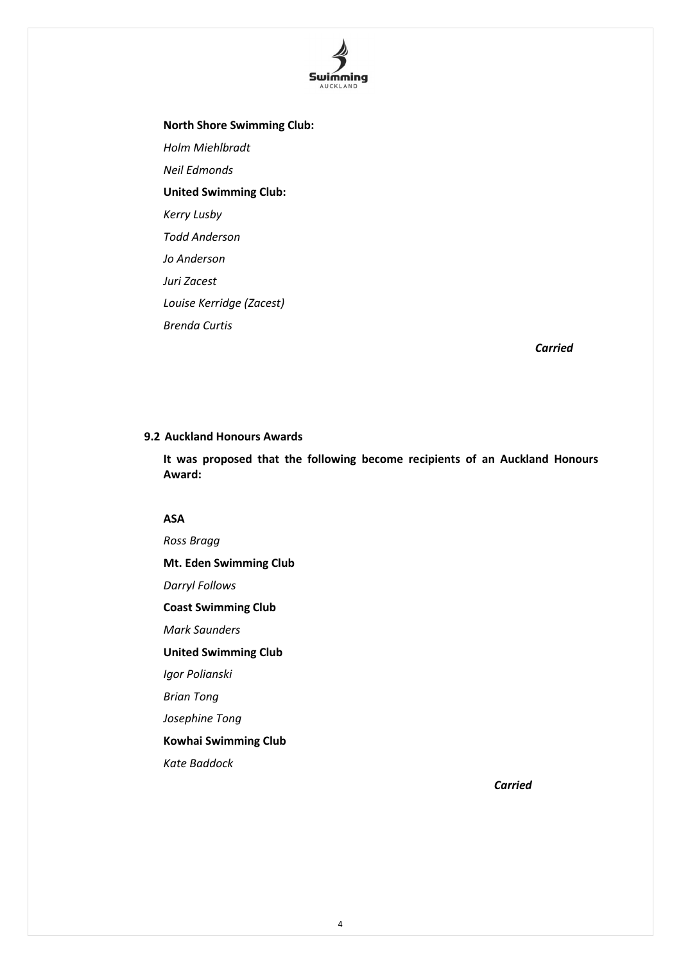

**North Shore Swimming Club:** *Holm Miehlbradt Neil Edmonds* **United Swimming Club:** *Kerry Lusby Todd Anderson Jo Anderson Juri Zacest Louise Kerridge (Zacest) Brenda Curtis* 

*Carried*

# **9.2 Auckland Honours Awards**

**It was proposed that the following become recipients of an Auckland Honours Award:**

# **ASA**

*Ross Bragg* **Mt. Eden Swimming Club** *Darryl Follows* **Coast Swimming Club** *Mark Saunders* **United Swimming Club** *Igor Polianski Brian Tong Josephine Tong* **Kowhai Swimming Club** *Kate Baddock*

*Carried*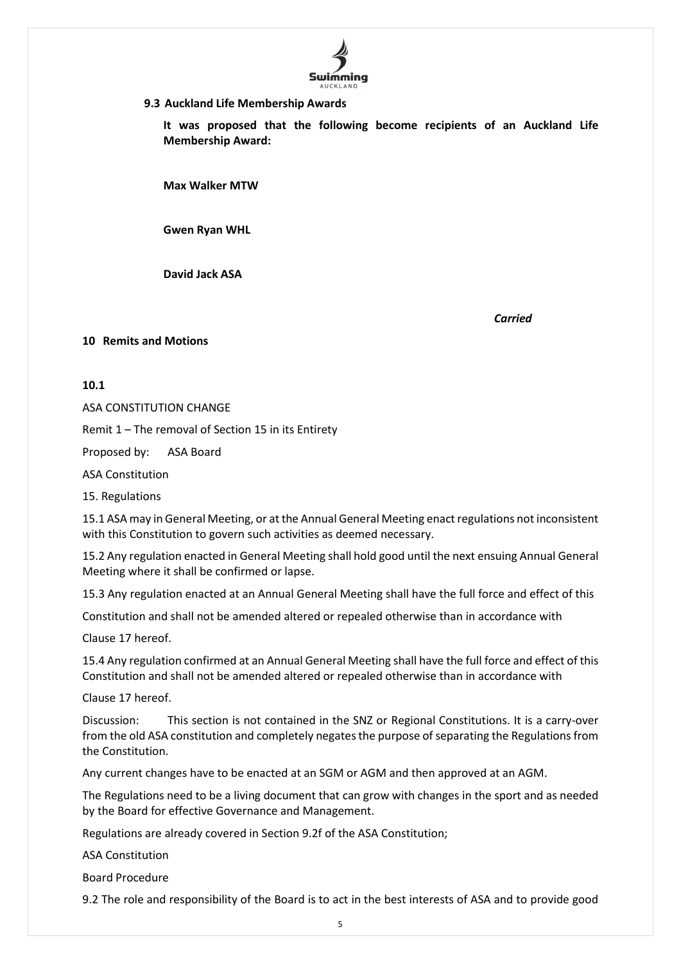

## **9.3 Auckland Life Membership Awards**

**It was proposed that the following become recipients of an Auckland Life Membership Award:**

**Max Walker MTW**

**Gwen Ryan WHL**

**David Jack ASA**

*Carried*

# **10 Remits and Motions**

### **10.1**

ASA CONSTITUTION CHANGE

Remit 1 – The removal of Section 15 in its Entirety

Proposed by: ASA Board

ASA Constitution

15. Regulations

15.1 ASA may in General Meeting, or at the Annual General Meeting enact regulations not inconsistent with this Constitution to govern such activities as deemed necessary.

15.2 Any regulation enacted in General Meeting shall hold good until the next ensuing Annual General Meeting where it shall be confirmed or lapse.

15.3 Any regulation enacted at an Annual General Meeting shall have the full force and effect of this

Constitution and shall not be amended altered or repealed otherwise than in accordance with

Clause 17 hereof.

15.4 Any regulation confirmed at an Annual General Meeting shall have the full force and effect of this Constitution and shall not be amended altered or repealed otherwise than in accordance with

Clause 17 hereof.

Discussion: This section is not contained in the SNZ or Regional Constitutions. It is a carry-over from the old ASA constitution and completely negates the purpose of separating the Regulations from the Constitution.

Any current changes have to be enacted at an SGM or AGM and then approved at an AGM.

The Regulations need to be a living document that can grow with changes in the sport and as needed by the Board for effective Governance and Management.

Regulations are already covered in Section 9.2f of the ASA Constitution;

ASA Constitution

Board Procedure

9.2 The role and responsibility of the Board is to act in the best interests of ASA and to provide good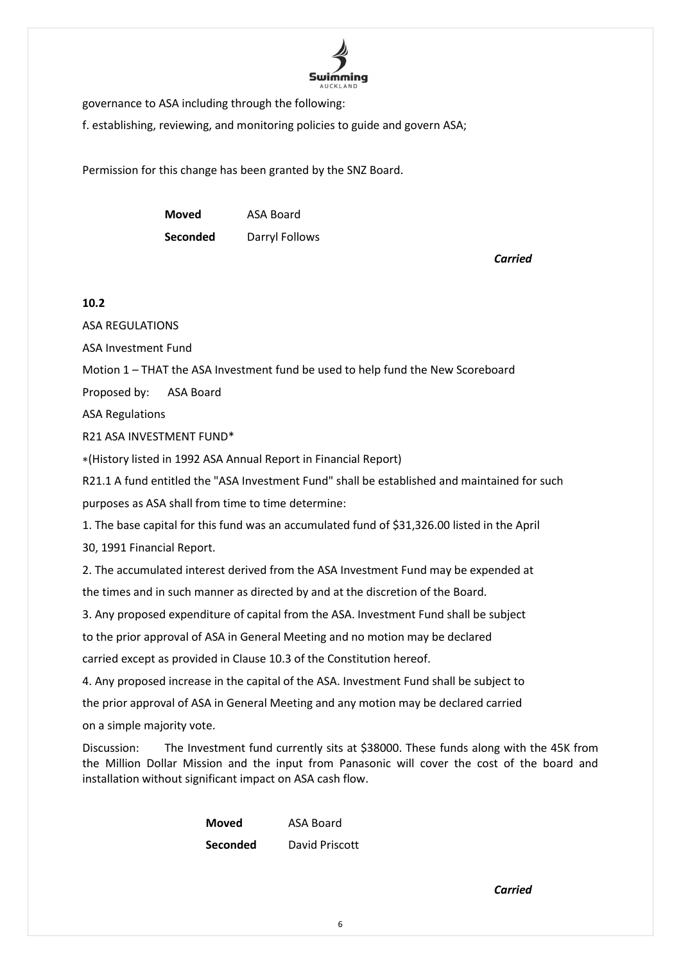

governance to ASA including through the following:

f. establishing, reviewing, and monitoring policies to guide and govern ASA;

Permission for this change has been granted by the SNZ Board.

**Moved** ASA Board **Seconded** Darryl Follows

*Carried*

# **10.2**

ASA REGULATIONS

ASA Investment Fund

Motion 1 – THAT the ASA Investment fund be used to help fund the New Scoreboard

Proposed by: ASA Board

ASA Regulations

R21 ASA INVESTMENT FUND\*

∗(History listed in 1992 ASA Annual Report in Financial Report)

R21.1 A fund entitled the "ASA Investment Fund" shall be established and maintained for such

purposes as ASA shall from time to time determine:

1. The base capital for this fund was an accumulated fund of \$31,326.00 listed in the April

30, 1991 Financial Report.

2. The accumulated interest derived from the ASA Investment Fund may be expended at the times and in such manner as directed by and at the discretion of the Board.

3. Any proposed expenditure of capital from the ASA. Investment Fund shall be subject

to the prior approval of ASA in General Meeting and no motion may be declared

carried except as provided in Clause 10.3 of the Constitution hereof.

4. Any proposed increase in the capital of the ASA. Investment Fund shall be subject to

the prior approval of ASA in General Meeting and any motion may be declared carried

on a simple majority vote.

Discussion: The Investment fund currently sits at \$38000. These funds along with the 45K from the Million Dollar Mission and the input from Panasonic will cover the cost of the board and installation without significant impact on ASA cash flow.

| <b>Moved</b>    | <b>ASA Board</b> |
|-----------------|------------------|
| <b>Seconded</b> | David Priscott   |

*Carried*